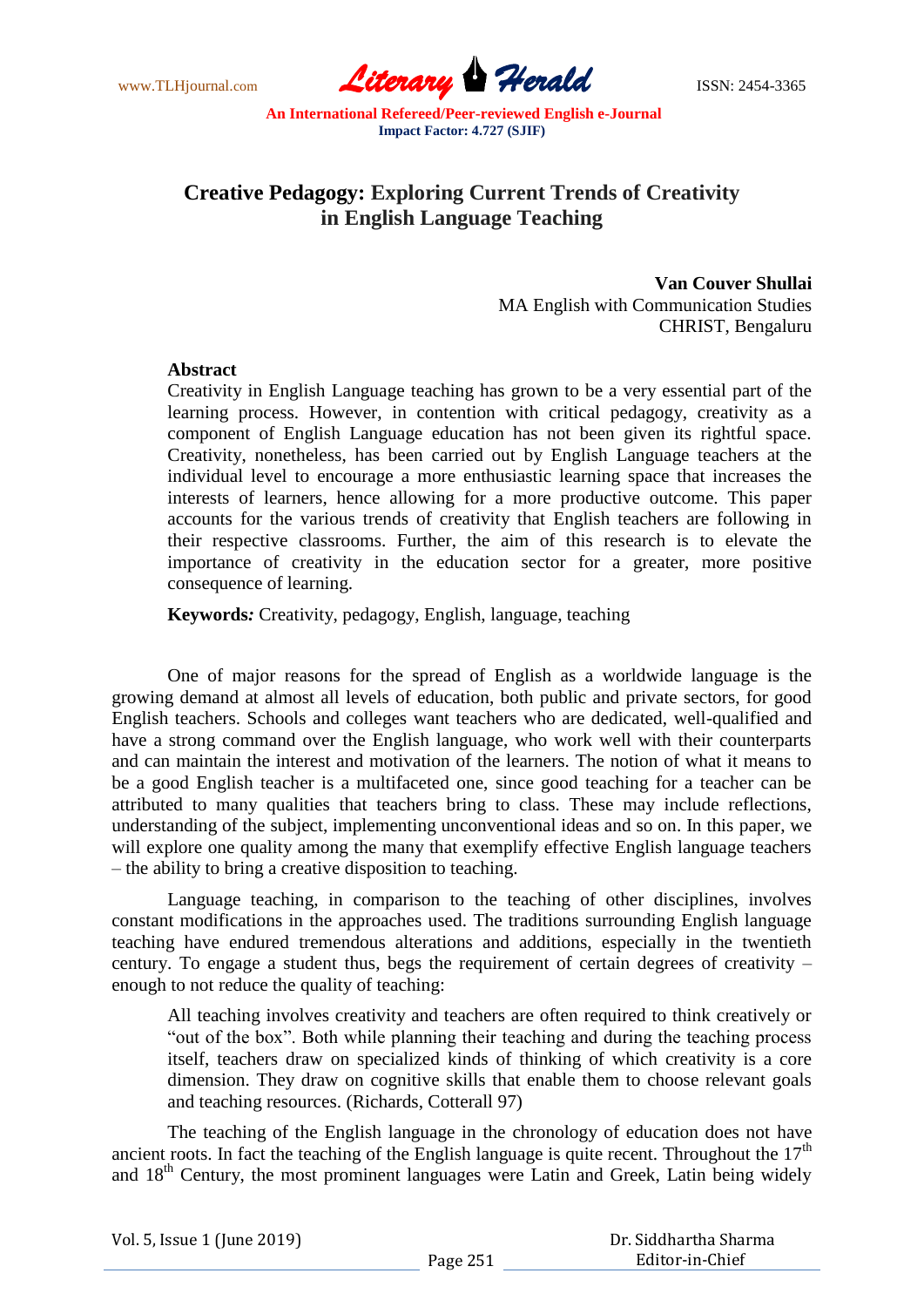www.TLHjournal.com **Literary Herald** ISSN: 2454-3365

# **Creative Pedagogy: Exploring Current Trends of Creativity in English Language Teaching**

**Van Couver Shullai** MA English with Communication Studies CHRIST, Bengaluru

#### **Abstract**

Creativity in English Language teaching has grown to be a very essential part of the learning process. However, in contention with critical pedagogy, creativity as a component of English Language education has not been given its rightful space. Creativity, nonetheless, has been carried out by English Language teachers at the individual level to encourage a more enthusiastic learning space that increases the interests of learners, hence allowing for a more productive outcome. This paper accounts for the various trends of creativity that English teachers are following in their respective classrooms. Further, the aim of this research is to elevate the importance of creativity in the education sector for a greater, more positive consequence of learning.

 **Keywords***:* Creativity, pedagogy, English, language, teaching

One of major reasons for the spread of English as a worldwide language is the growing demand at almost all levels of education, both public and private sectors, for good English teachers. Schools and colleges want teachers who are dedicated, well-qualified and have a strong command over the English language, who work well with their counterparts and can maintain the interest and motivation of the learners. The notion of what it means to be a good English teacher is a multifaceted one, since good teaching for a teacher can be attributed to many qualities that teachers bring to class. These may include reflections, understanding of the subject, implementing unconventional ideas and so on. In this paper, we will explore one quality among the many that exemplify effective English language teachers – the ability to bring a creative disposition to teaching.

Language teaching, in comparison to the teaching of other disciplines, involves constant modifications in the approaches used. The traditions surrounding English language teaching have endured tremendous alterations and additions, especially in the twentieth century. To engage a student thus, begs the requirement of certain degrees of creativity – enough to not reduce the quality of teaching:

All teaching involves creativity and teachers are often required to think creatively or "out of the box". Both while planning their teaching and during the teaching process itself, teachers draw on specialized kinds of thinking of which creativity is a core dimension. They draw on cognitive skills that enable them to choose relevant goals and teaching resources. (Richards, Cotterall 97)

The teaching of the English language in the chronology of education does not have ancient roots. In fact the teaching of the English language is quite recent. Throughout the  $17<sup>th</sup>$ and 18<sup>th</sup> Century, the most prominent languages were Latin and Greek, Latin being widely

| Vol. 5, Issue 1 (June 2019) |          | Dr. Siddhartha Sharma |
|-----------------------------|----------|-----------------------|
|                             | Page 251 | Editor-in-Chief       |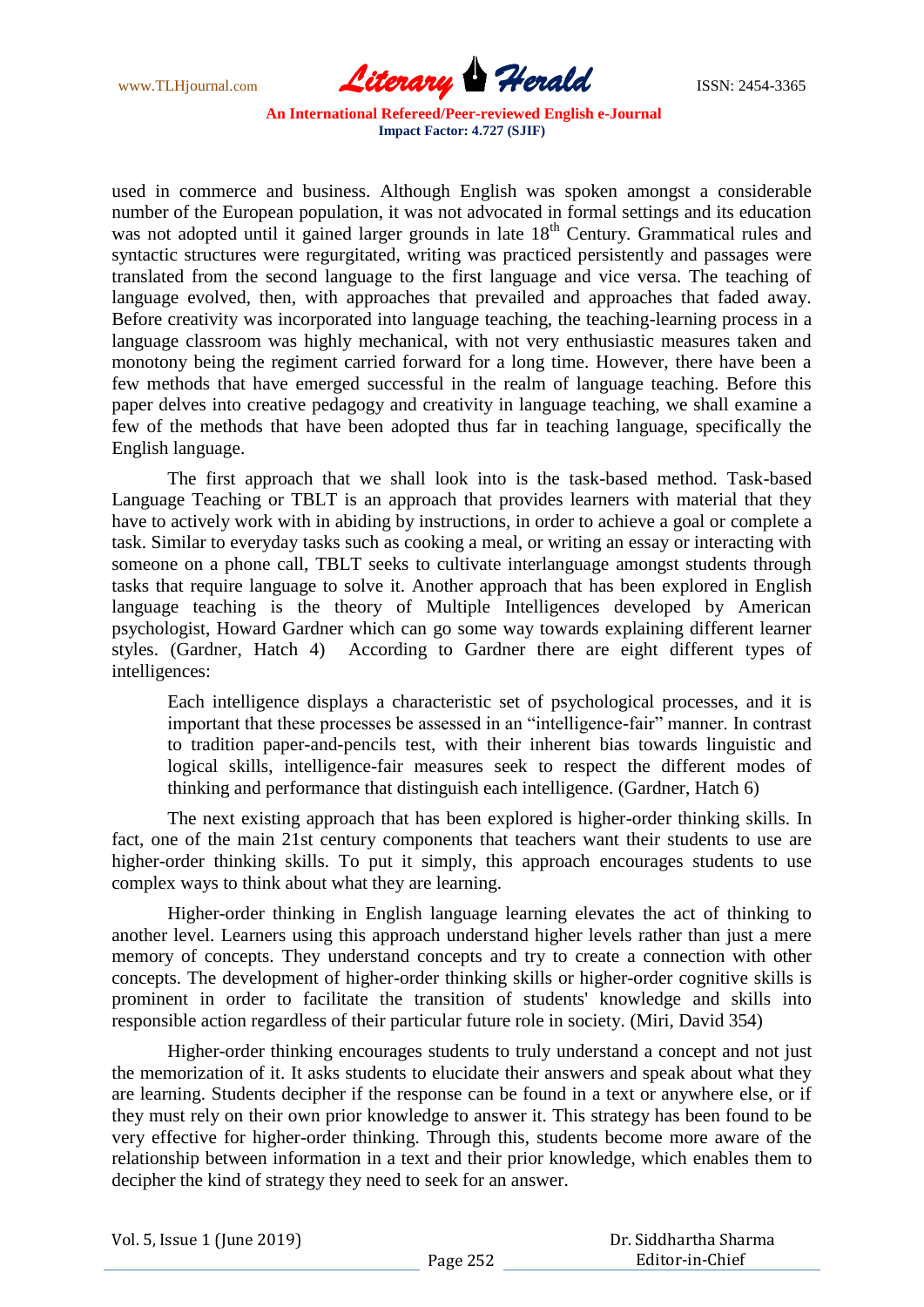www.TLHjournal.com **Literary Herald Herald** ISSN: 2454-3365

used in commerce and business. Although English was spoken amongst a considerable number of the European population, it was not advocated in formal settings and its education was not adopted until it gained larger grounds in late 18<sup>th</sup> Century. Grammatical rules and syntactic structures were regurgitated, writing was practiced persistently and passages were translated from the second language to the first language and vice versa. The teaching of language evolved, then, with approaches that prevailed and approaches that faded away. Before creativity was incorporated into language teaching, the teaching-learning process in a language classroom was highly mechanical, with not very enthusiastic measures taken and monotony being the regiment carried forward for a long time. However, there have been a few methods that have emerged successful in the realm of language teaching. Before this paper delves into creative pedagogy and creativity in language teaching, we shall examine a few of the methods that have been adopted thus far in teaching language, specifically the English language.

The first approach that we shall look into is the task-based method. Task-based Language Teaching or TBLT is an approach that provides learners with material that they have to actively work with in abiding by instructions, in order to achieve a goal or complete a task. Similar to everyday tasks such as cooking a meal, or writing an essay or interacting with someone on a phone call, TBLT seeks to cultivate interlanguage amongst students through tasks that require language to solve it. Another approach that has been explored in English language teaching is the theory of Multiple Intelligences developed by American psychologist, Howard Gardner which can go some way towards explaining different learner styles. (Gardner, Hatch 4) According to Gardner there are eight different types of intelligences:

Each intelligence displays a characteristic set of psychological processes, and it is important that these processes be assessed in an "intelligence-fair" manner. In contrast to tradition paper-and-pencils test, with their inherent bias towards linguistic and logical skills, intelligence-fair measures seek to respect the different modes of thinking and performance that distinguish each intelligence. (Gardner, Hatch 6)

The next existing approach that has been explored is higher-order thinking skills. In fact, one of the main 21st century components that teachers want their students to use are higher-order thinking skills. To put it simply, this approach encourages students to use complex ways to think about what they are learning.

Higher-order thinking in English language learning elevates the act of thinking to another level. Learners using this approach understand higher levels rather than just a mere memory of concepts. They understand concepts and try to create a connection with other concepts. The development of higher-order thinking skills or higher-order cognitive skills is prominent in order to facilitate the transition of students' knowledge and skills into responsible action regardless of their particular future role in society. (Miri, David 354)

Higher-order thinking encourages students to truly understand a concept and not just the memorization of it. It asks students to elucidate their answers and speak about what they are learning. Students decipher if the response can be found in a text or anywhere else, or if they must rely on their own prior knowledge to answer it. This strategy has been found to be very effective for higher-order thinking. Through this, students become more aware of the relationship between information in a text and their prior knowledge, which enables them to decipher the kind of strategy they need to seek for an answer.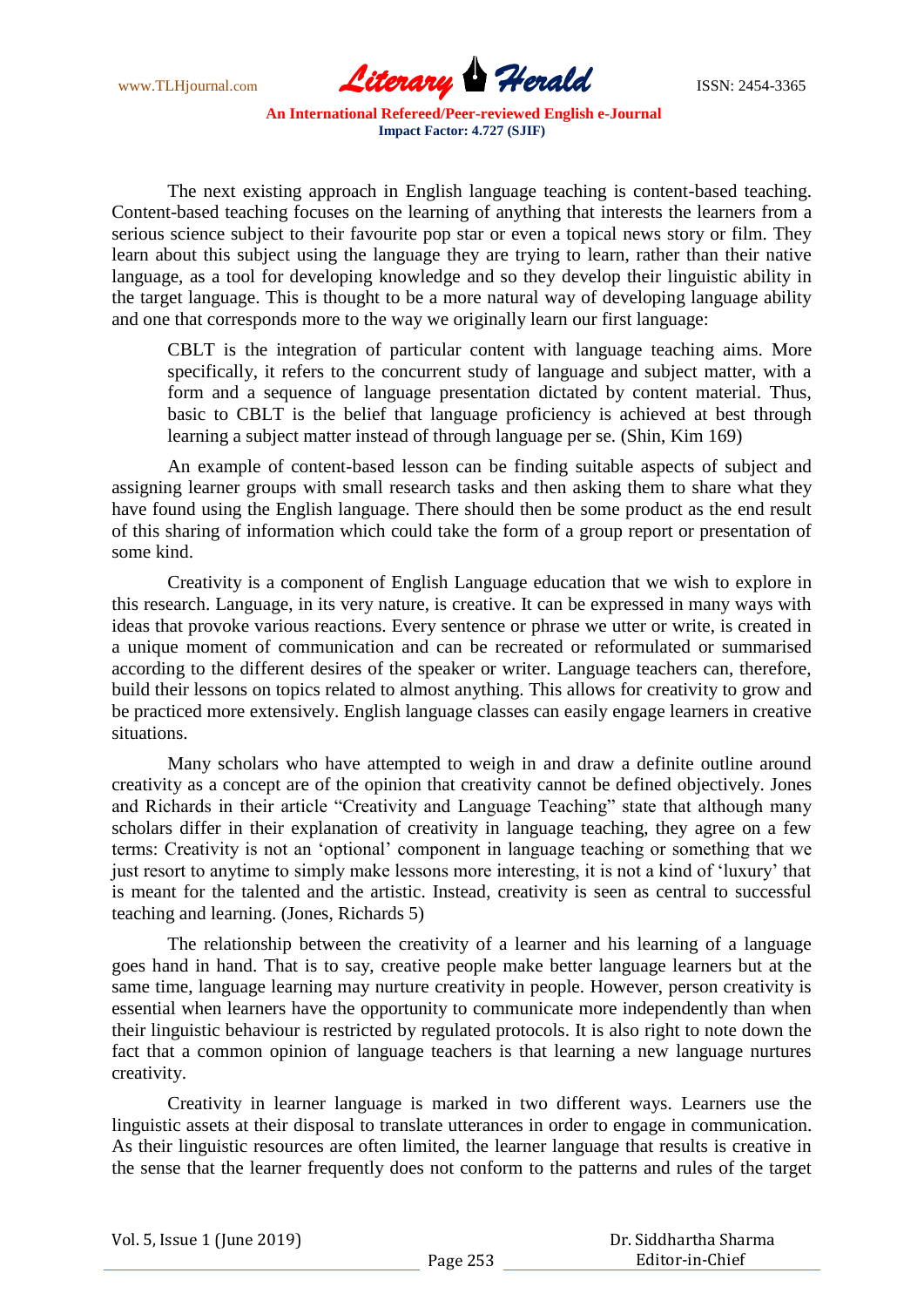

The next existing approach in English language teaching is content-based teaching. Content-based teaching focuses on the learning of anything that interests the learners from a serious science subject to their favourite pop star or even a topical news story or film. They learn about this subject using the language they are trying to learn, rather than their native language, as a tool for developing knowledge and so they develop their linguistic ability in the target language. This is thought to be a more natural way of developing language ability and one that corresponds more to the way we originally learn our first language:

CBLT is the integration of particular content with language teaching aims. More specifically, it refers to the concurrent study of language and subject matter, with a form and a sequence of language presentation dictated by content material. Thus, basic to CBLT is the belief that language proficiency is achieved at best through learning a subject matter instead of through language per se. (Shin, Kim 169)

An example of content-based lesson can be finding suitable aspects of subject and assigning learner groups with small research tasks and then asking them to share what they have found using the English language. There should then be some product as the end result of this sharing of information which could take the form of a group report or presentation of some kind.

Creativity is a component of English Language education that we wish to explore in this research. Language, in its very nature, is creative. It can be expressed in many ways with ideas that provoke various reactions. Every sentence or phrase we utter or write, is created in a unique moment of communication and can be recreated or reformulated or summarised according to the different desires of the speaker or writer. Language teachers can, therefore, build their lessons on topics related to almost anything. This allows for creativity to grow and be practiced more extensively. English language classes can easily engage learners in creative situations.

Many scholars who have attempted to weigh in and draw a definite outline around creativity as a concept are of the opinion that creativity cannot be defined objectively. Jones and Richards in their article "Creativity and Language Teaching" state that although many scholars differ in their explanation of creativity in language teaching, they agree on a few terms: Creativity is not an "optional" component in language teaching or something that we just resort to anytime to simply make lessons more interesting, it is not a kind of 'luxury' that is meant for the talented and the artistic. Instead, creativity is seen as central to successful teaching and learning. (Jones, Richards 5)

The relationship between the creativity of a learner and his learning of a language goes hand in hand. That is to say, creative people make better language learners but at the same time, language learning may nurture creativity in people. However, person creativity is essential when learners have the opportunity to communicate more independently than when their linguistic behaviour is restricted by regulated protocols. It is also right to note down the fact that a common opinion of language teachers is that learning a new language nurtures creativity.

Creativity in learner language is marked in two different ways. Learners use the linguistic assets at their disposal to translate utterances in order to engage in communication. As their linguistic resources are often limited, the learner language that results is creative in the sense that the learner frequently does not conform to the patterns and rules of the target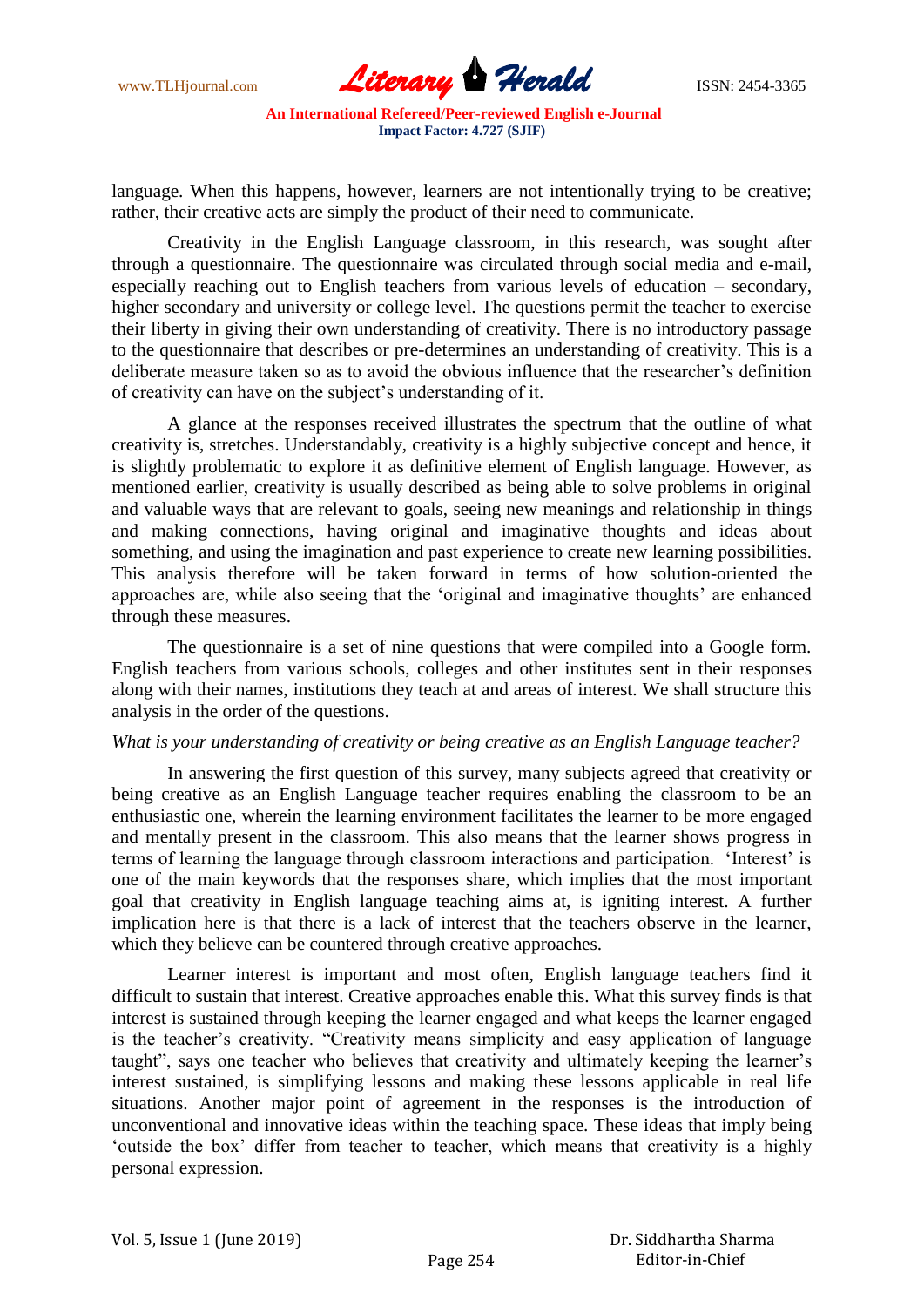

language. When this happens, however, learners are not intentionally trying to be creative; rather, their creative acts are simply the product of their need to communicate.

Creativity in the English Language classroom, in this research, was sought after through a questionnaire. The questionnaire was circulated through social media and e-mail, especially reaching out to English teachers from various levels of education – secondary, higher secondary and university or college level. The questions permit the teacher to exercise their liberty in giving their own understanding of creativity. There is no introductory passage to the questionnaire that describes or pre-determines an understanding of creativity. This is a deliberate measure taken so as to avoid the obvious influence that the researcher"s definition of creativity can have on the subject"s understanding of it.

A glance at the responses received illustrates the spectrum that the outline of what creativity is, stretches. Understandably, creativity is a highly subjective concept and hence, it is slightly problematic to explore it as definitive element of English language. However, as mentioned earlier, creativity is usually described as being able to solve problems in original and valuable ways that are relevant to goals, seeing new meanings and relationship in things and making connections, having original and imaginative thoughts and ideas about something, and using the imagination and past experience to create new learning possibilities. This analysis therefore will be taken forward in terms of how solution-oriented the approaches are, while also seeing that the 'original and imaginative thoughts' are enhanced through these measures.

The questionnaire is a set of nine questions that were compiled into a Google form. English teachers from various schools, colleges and other institutes sent in their responses along with their names, institutions they teach at and areas of interest. We shall structure this analysis in the order of the questions.

#### *What is your understanding of creativity or being creative as an English Language teacher?*

In answering the first question of this survey, many subjects agreed that creativity or being creative as an English Language teacher requires enabling the classroom to be an enthusiastic one, wherein the learning environment facilitates the learner to be more engaged and mentally present in the classroom. This also means that the learner shows progress in terms of learning the language through classroom interactions and participation. "Interest" is one of the main keywords that the responses share, which implies that the most important goal that creativity in English language teaching aims at, is igniting interest. A further implication here is that there is a lack of interest that the teachers observe in the learner, which they believe can be countered through creative approaches.

Learner interest is important and most often, English language teachers find it difficult to sustain that interest. Creative approaches enable this. What this survey finds is that interest is sustained through keeping the learner engaged and what keeps the learner engaged is the teacher's creativity. "Creativity means simplicity and easy application of language taught", says one teacher who believes that creativity and ultimately keeping the learner"s interest sustained, is simplifying lessons and making these lessons applicable in real life situations. Another major point of agreement in the responses is the introduction of unconventional and innovative ideas within the teaching space. These ideas that imply being "outside the box" differ from teacher to teacher, which means that creativity is a highly personal expression.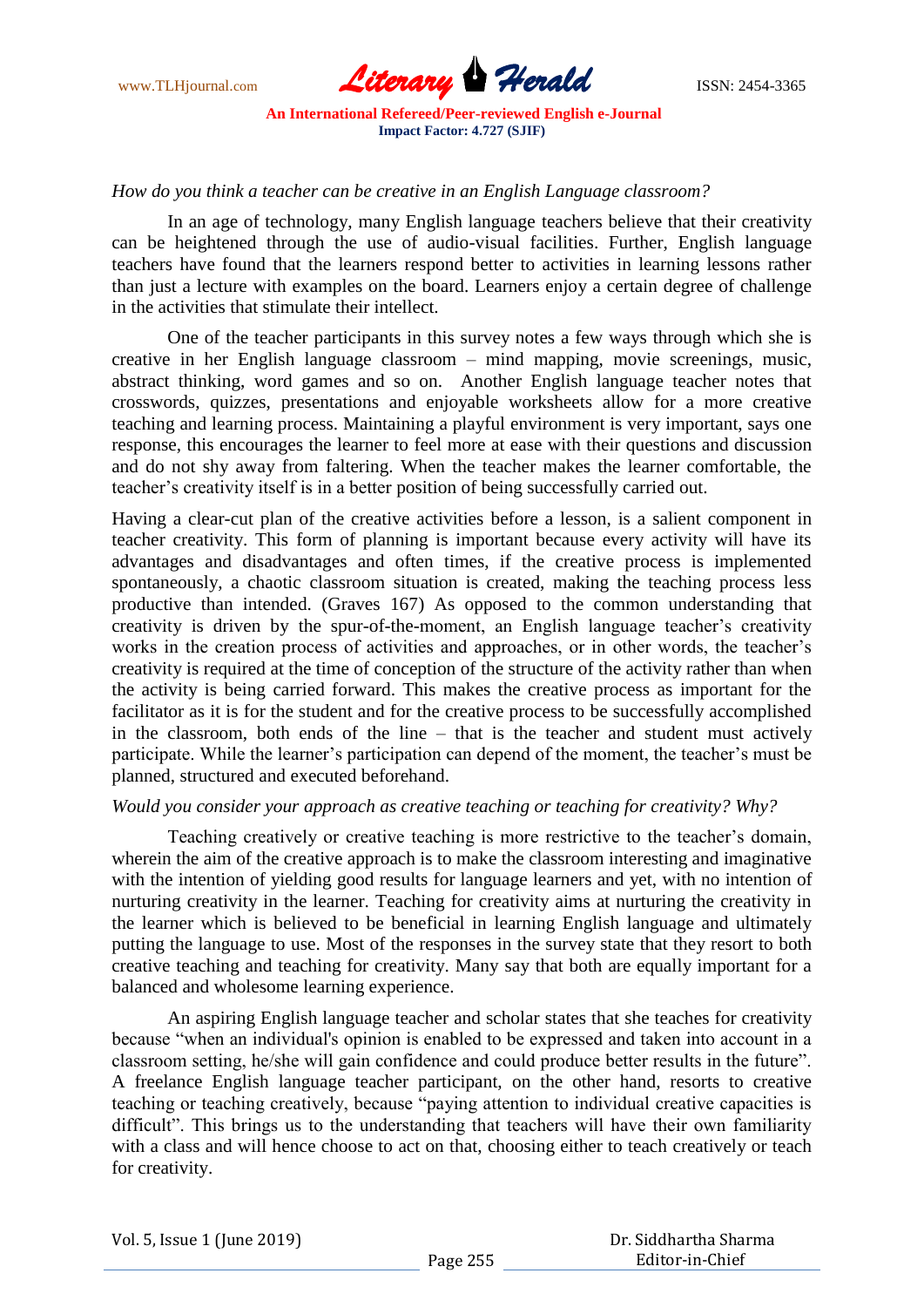

#### *How do you think a teacher can be creative in an English Language classroom?*

In an age of technology, many English language teachers believe that their creativity can be heightened through the use of audio-visual facilities. Further, English language teachers have found that the learners respond better to activities in learning lessons rather than just a lecture with examples on the board. Learners enjoy a certain degree of challenge in the activities that stimulate their intellect.

One of the teacher participants in this survey notes a few ways through which she is creative in her English language classroom – mind mapping, movie screenings, music, abstract thinking, word games and so on. Another English language teacher notes that crosswords, quizzes, presentations and enjoyable worksheets allow for a more creative teaching and learning process. Maintaining a playful environment is very important, says one response, this encourages the learner to feel more at ease with their questions and discussion and do not shy away from faltering. When the teacher makes the learner comfortable, the teacher"s creativity itself is in a better position of being successfully carried out.

Having a clear-cut plan of the creative activities before a lesson, is a salient component in teacher creativity. This form of planning is important because every activity will have its advantages and disadvantages and often times, if the creative process is implemented spontaneously, a chaotic classroom situation is created, making the teaching process less productive than intended. (Graves 167) As opposed to the common understanding that creativity is driven by the spur-of-the-moment, an English language teacher"s creativity works in the creation process of activities and approaches, or in other words, the teacher's creativity is required at the time of conception of the structure of the activity rather than when the activity is being carried forward. This makes the creative process as important for the facilitator as it is for the student and for the creative process to be successfully accomplished in the classroom, both ends of the line – that is the teacher and student must actively participate. While the learner's participation can depend of the moment, the teacher's must be planned, structured and executed beforehand.

#### *Would you consider your approach as creative teaching or teaching for creativity? Why?*

Teaching creatively or creative teaching is more restrictive to the teacher"s domain, wherein the aim of the creative approach is to make the classroom interesting and imaginative with the intention of yielding good results for language learners and yet, with no intention of nurturing creativity in the learner. Teaching for creativity aims at nurturing the creativity in the learner which is believed to be beneficial in learning English language and ultimately putting the language to use. Most of the responses in the survey state that they resort to both creative teaching and teaching for creativity. Many say that both are equally important for a balanced and wholesome learning experience.

An aspiring English language teacher and scholar states that she teaches for creativity because "when an individual's opinion is enabled to be expressed and taken into account in a classroom setting, he/she will gain confidence and could produce better results in the future". A freelance English language teacher participant, on the other hand, resorts to creative teaching or teaching creatively, because "paying attention to individual creative capacities is difficult". This brings us to the understanding that teachers will have their own familiarity with a class and will hence choose to act on that, choosing either to teach creatively or teach for creativity.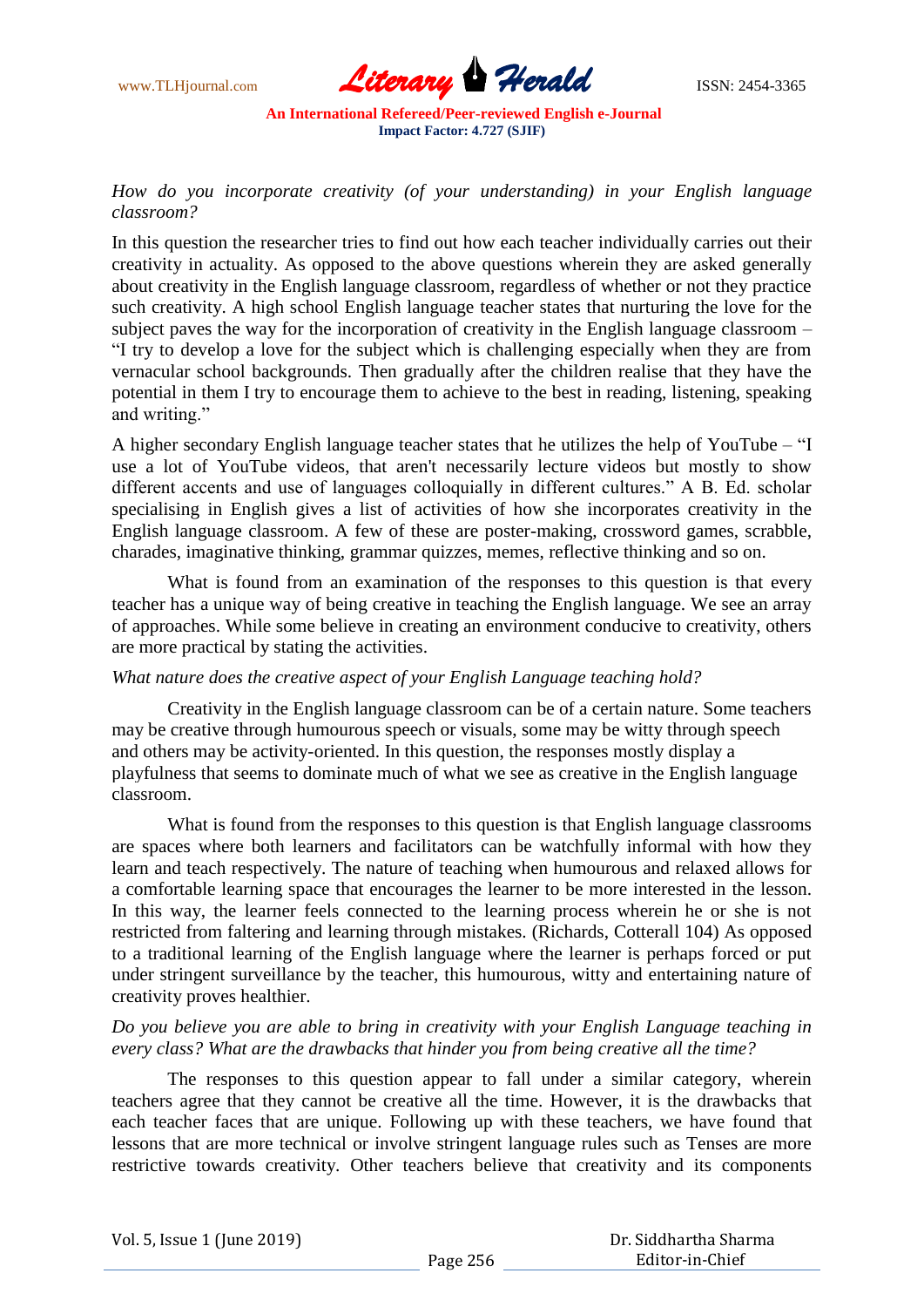

## *How do you incorporate creativity (of your understanding) in your English language classroom?*

In this question the researcher tries to find out how each teacher individually carries out their creativity in actuality. As opposed to the above questions wherein they are asked generally about creativity in the English language classroom, regardless of whether or not they practice such creativity. A high school English language teacher states that nurturing the love for the subject paves the way for the incorporation of creativity in the English language classroom – "I try to develop a love for the subject which is challenging especially when they are from vernacular school backgrounds. Then gradually after the children realise that they have the potential in them I try to encourage them to achieve to the best in reading, listening, speaking and writing."

A higher secondary English language teacher states that he utilizes the help of YouTube – "I use a lot of YouTube videos, that aren't necessarily lecture videos but mostly to show different accents and use of languages colloquially in different cultures." A B. Ed. scholar specialising in English gives a list of activities of how she incorporates creativity in the English language classroom. A few of these are poster-making, crossword games, scrabble, charades, imaginative thinking, grammar quizzes, memes, reflective thinking and so on.

What is found from an examination of the responses to this question is that every teacher has a unique way of being creative in teaching the English language. We see an array of approaches. While some believe in creating an environment conducive to creativity, others are more practical by stating the activities.

## *What nature does the creative aspect of your English Language teaching hold?*

Creativity in the English language classroom can be of a certain nature. Some teachers may be creative through humourous speech or visuals, some may be witty through speech and others may be activity-oriented. In this question, the responses mostly display a playfulness that seems to dominate much of what we see as creative in the English language classroom.

What is found from the responses to this question is that English language classrooms are spaces where both learners and facilitators can be watchfully informal with how they learn and teach respectively. The nature of teaching when humourous and relaxed allows for a comfortable learning space that encourages the learner to be more interested in the lesson. In this way, the learner feels connected to the learning process wherein he or she is not restricted from faltering and learning through mistakes. (Richards, Cotterall 104) As opposed to a traditional learning of the English language where the learner is perhaps forced or put under stringent surveillance by the teacher, this humourous, witty and entertaining nature of creativity proves healthier.

## *Do you believe you are able to bring in creativity with your English Language teaching in every class? What are the drawbacks that hinder you from being creative all the time?*

The responses to this question appear to fall under a similar category, wherein teachers agree that they cannot be creative all the time. However, it is the drawbacks that each teacher faces that are unique. Following up with these teachers, we have found that lessons that are more technical or involve stringent language rules such as Tenses are more restrictive towards creativity. Other teachers believe that creativity and its components

| Vol. 5, Issue 1 (June 2019) |  |
|-----------------------------|--|
|-----------------------------|--|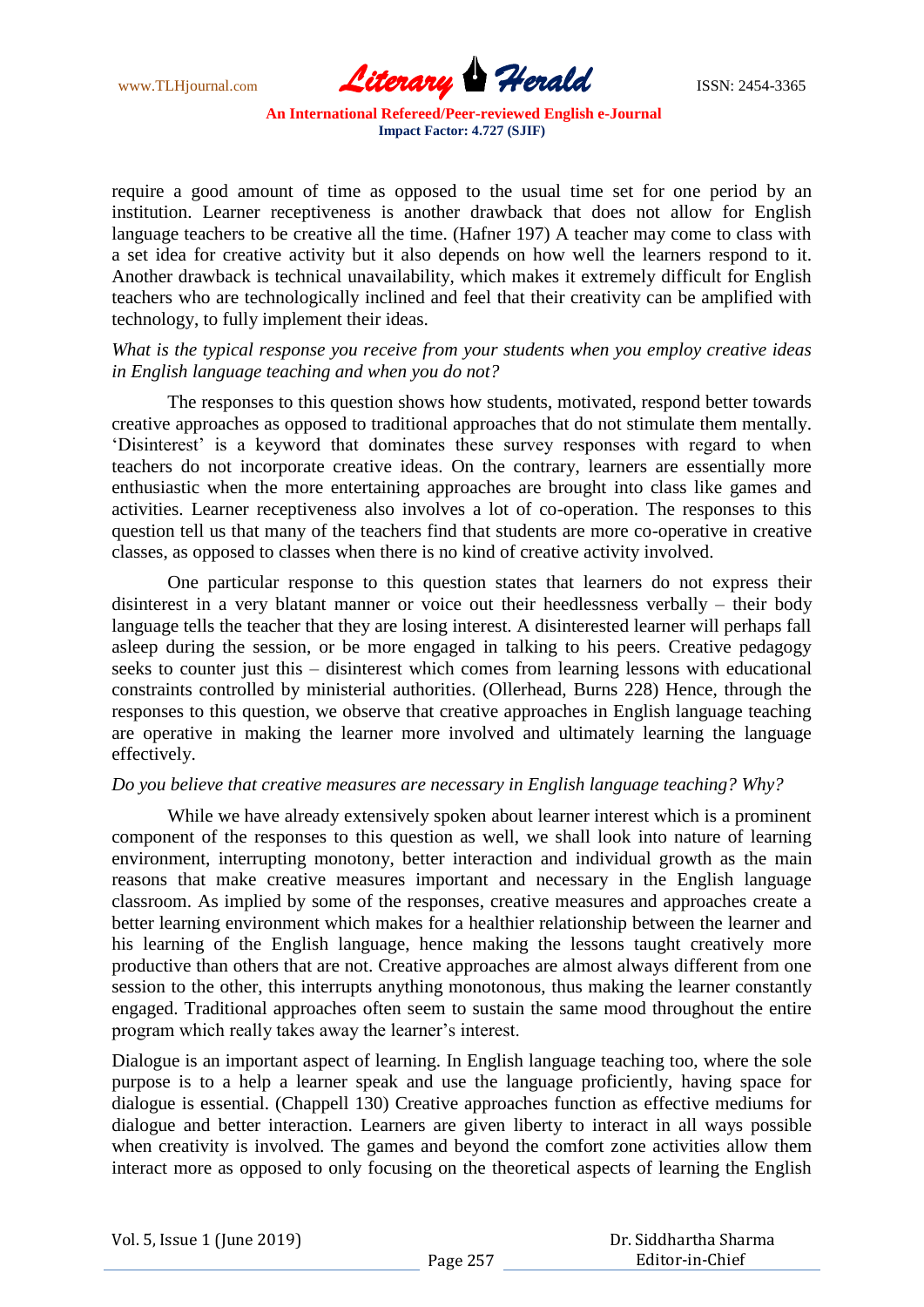

require a good amount of time as opposed to the usual time set for one period by an institution. Learner receptiveness is another drawback that does not allow for English language teachers to be creative all the time. (Hafner 197) A teacher may come to class with a set idea for creative activity but it also depends on how well the learners respond to it. Another drawback is technical unavailability, which makes it extremely difficult for English teachers who are technologically inclined and feel that their creativity can be amplified with technology, to fully implement their ideas.

## *What is the typical response you receive from your students when you employ creative ideas in English language teaching and when you do not?*

The responses to this question shows how students, motivated, respond better towards creative approaches as opposed to traditional approaches that do not stimulate them mentally. 'Disinterest' is a keyword that dominates these survey responses with regard to when teachers do not incorporate creative ideas. On the contrary, learners are essentially more enthusiastic when the more entertaining approaches are brought into class like games and activities. Learner receptiveness also involves a lot of co-operation. The responses to this question tell us that many of the teachers find that students are more co-operative in creative classes, as opposed to classes when there is no kind of creative activity involved.

One particular response to this question states that learners do not express their disinterest in a very blatant manner or voice out their heedlessness verbally – their body language tells the teacher that they are losing interest. A disinterested learner will perhaps fall asleep during the session, or be more engaged in talking to his peers. Creative pedagogy seeks to counter just this – disinterest which comes from learning lessons with educational constraints controlled by ministerial authorities. (Ollerhead, Burns 228) Hence, through the responses to this question, we observe that creative approaches in English language teaching are operative in making the learner more involved and ultimately learning the language effectively.

#### *Do you believe that creative measures are necessary in English language teaching? Why?*

While we have already extensively spoken about learner interest which is a prominent component of the responses to this question as well, we shall look into nature of learning environment, interrupting monotony, better interaction and individual growth as the main reasons that make creative measures important and necessary in the English language classroom. As implied by some of the responses, creative measures and approaches create a better learning environment which makes for a healthier relationship between the learner and his learning of the English language, hence making the lessons taught creatively more productive than others that are not. Creative approaches are almost always different from one session to the other, this interrupts anything monotonous, thus making the learner constantly engaged. Traditional approaches often seem to sustain the same mood throughout the entire program which really takes away the learner"s interest.

Dialogue is an important aspect of learning. In English language teaching too, where the sole purpose is to a help a learner speak and use the language proficiently, having space for dialogue is essential. (Chappell 130) Creative approaches function as effective mediums for dialogue and better interaction. Learners are given liberty to interact in all ways possible when creativity is involved. The games and beyond the comfort zone activities allow them interact more as opposed to only focusing on the theoretical aspects of learning the English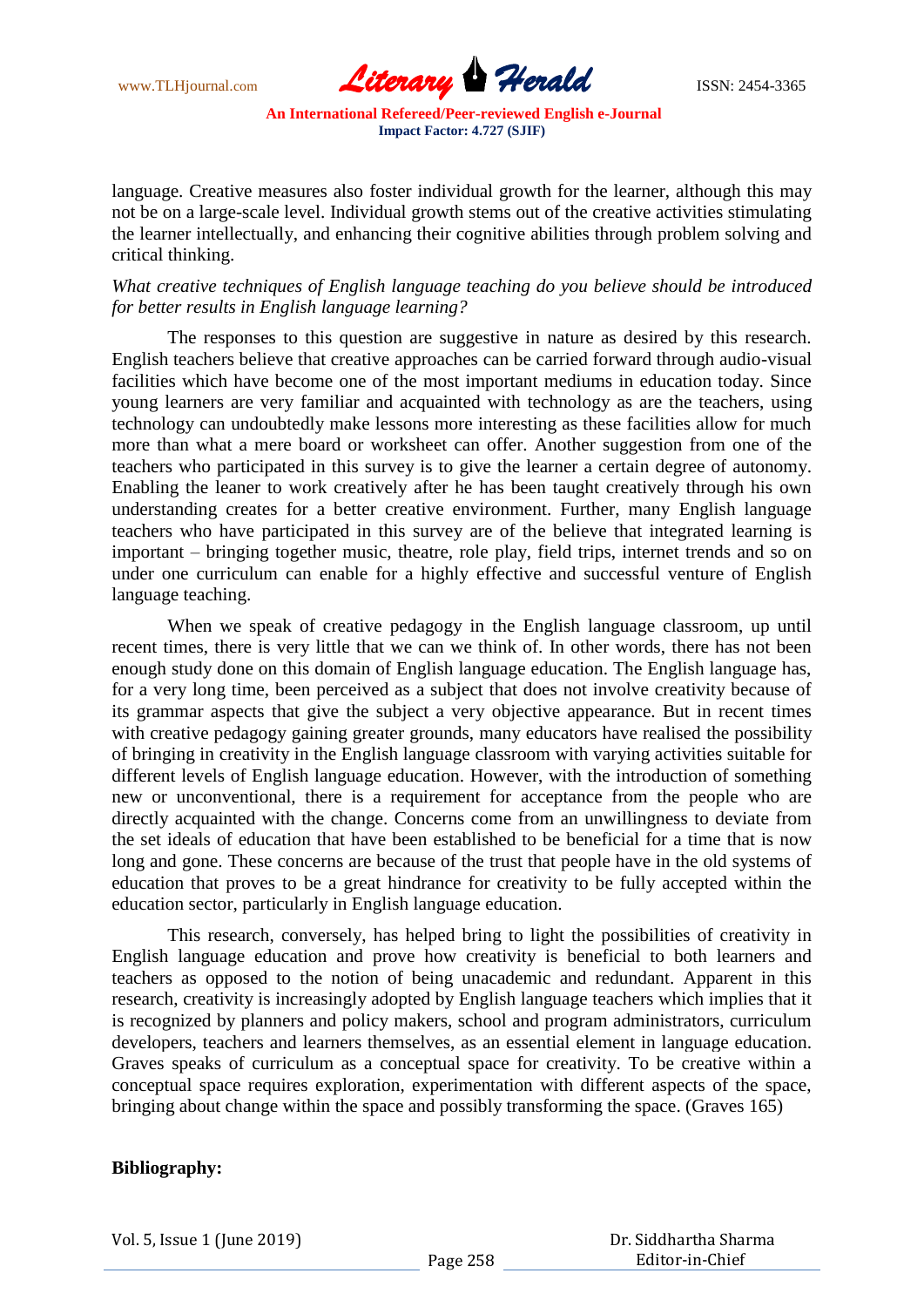www.TLHjournal.com **Literary Herald Herald** ISSN: 2454-3365

language. Creative measures also foster individual growth for the learner, although this may not be on a large-scale level. Individual growth stems out of the creative activities stimulating the learner intellectually, and enhancing their cognitive abilities through problem solving and critical thinking.

## *What creative techniques of English language teaching do you believe should be introduced for better results in English language learning?*

The responses to this question are suggestive in nature as desired by this research. English teachers believe that creative approaches can be carried forward through audio-visual facilities which have become one of the most important mediums in education today. Since young learners are very familiar and acquainted with technology as are the teachers, using technology can undoubtedly make lessons more interesting as these facilities allow for much more than what a mere board or worksheet can offer. Another suggestion from one of the teachers who participated in this survey is to give the learner a certain degree of autonomy. Enabling the leaner to work creatively after he has been taught creatively through his own understanding creates for a better creative environment. Further, many English language teachers who have participated in this survey are of the believe that integrated learning is important – bringing together music, theatre, role play, field trips, internet trends and so on under one curriculum can enable for a highly effective and successful venture of English language teaching.

When we speak of creative pedagogy in the English language classroom, up until recent times, there is very little that we can we think of. In other words, there has not been enough study done on this domain of English language education. The English language has, for a very long time, been perceived as a subject that does not involve creativity because of its grammar aspects that give the subject a very objective appearance. But in recent times with creative pedagogy gaining greater grounds, many educators have realised the possibility of bringing in creativity in the English language classroom with varying activities suitable for different levels of English language education. However, with the introduction of something new or unconventional, there is a requirement for acceptance from the people who are directly acquainted with the change. Concerns come from an unwillingness to deviate from the set ideals of education that have been established to be beneficial for a time that is now long and gone. These concerns are because of the trust that people have in the old systems of education that proves to be a great hindrance for creativity to be fully accepted within the education sector, particularly in English language education.

This research, conversely, has helped bring to light the possibilities of creativity in English language education and prove how creativity is beneficial to both learners and teachers as opposed to the notion of being unacademic and redundant. Apparent in this research, creativity is increasingly adopted by English language teachers which implies that it is recognized by planners and policy makers, school and program administrators, curriculum developers, teachers and learners themselves, as an essential element in language education. Graves speaks of curriculum as a conceptual space for creativity. To be creative within a conceptual space requires exploration, experimentation with different aspects of the space, bringing about change within the space and possibly transforming the space. (Graves 165)

## **Bibliography:**